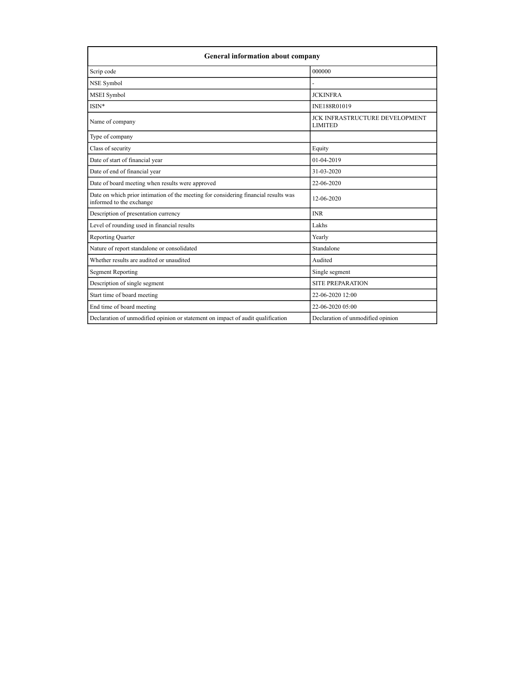| <b>General information about company</b>                                                                        |                                                         |  |
|-----------------------------------------------------------------------------------------------------------------|---------------------------------------------------------|--|
| Scrip code                                                                                                      | 000000                                                  |  |
| NSE Symbol                                                                                                      |                                                         |  |
| MSEI Symbol                                                                                                     | <b>JCKINFRA</b>                                         |  |
| ISIN*                                                                                                           | INE188R01019                                            |  |
| Name of company                                                                                                 | <b>JCK INFRASTRUCTURE DEVELOPMENT</b><br><b>LIMITED</b> |  |
| Type of company                                                                                                 |                                                         |  |
| Class of security                                                                                               | Equity                                                  |  |
| Date of start of financial year                                                                                 | 01-04-2019                                              |  |
| Date of end of financial year                                                                                   | 31-03-2020                                              |  |
| Date of board meeting when results were approved                                                                | 22-06-2020                                              |  |
| Date on which prior intimation of the meeting for considering financial results was<br>informed to the exchange | 12-06-2020                                              |  |
| Description of presentation currency                                                                            | <b>INR</b>                                              |  |
| Level of rounding used in financial results                                                                     | Lakhs                                                   |  |
| Reporting Quarter                                                                                               | Yearly                                                  |  |
| Nature of report standalone or consolidated                                                                     | Standalone                                              |  |
| Whether results are audited or unaudited                                                                        | Audited                                                 |  |
| <b>Segment Reporting</b>                                                                                        | Single segment                                          |  |
| Description of single segment                                                                                   | SITE PREPARATION                                        |  |
| Start time of board meeting                                                                                     | 22-06-2020 12:00                                        |  |
| End time of board meeting                                                                                       | 22-06-2020 05:00                                        |  |
| Declaration of unmodified opinion or statement on impact of audit qualification                                 | Declaration of unmodified opinion                       |  |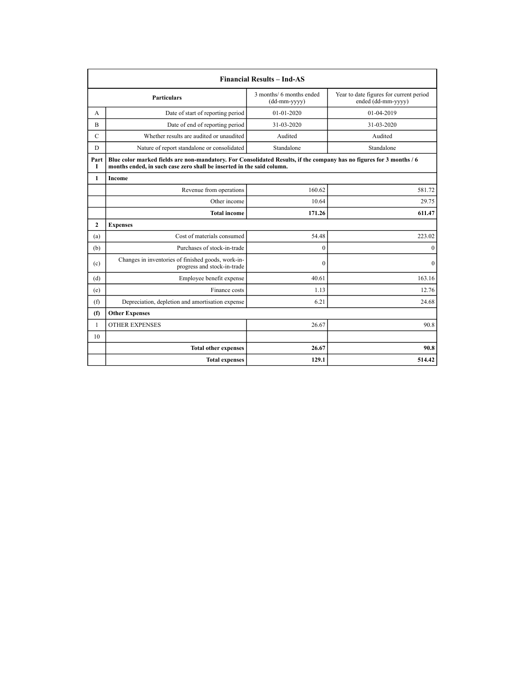|              | <b>Financial Results - Ind-AS</b>                                                                                                                                                             |                                          |                                                               |
|--------------|-----------------------------------------------------------------------------------------------------------------------------------------------------------------------------------------------|------------------------------------------|---------------------------------------------------------------|
|              | <b>Particulars</b>                                                                                                                                                                            | 3 months/ 6 months ended<br>(dd-mm-yyyy) | Year to date figures for current period<br>ended (dd-mm-yyyy) |
| A            | Date of start of reporting period                                                                                                                                                             | 01-01-2020                               | 01-04-2019                                                    |
| B            | Date of end of reporting period                                                                                                                                                               | 31-03-2020                               | 31-03-2020                                                    |
| $\mathbf C$  | Whether results are audited or unaudited                                                                                                                                                      | Audited                                  | Audited                                                       |
| D            | Nature of report standalone or consolidated                                                                                                                                                   | Standalone                               | Standalone                                                    |
| Part<br>I    | Blue color marked fields are non-mandatory. For Consolidated Results, if the company has no figures for 3 months / 6<br>months ended, in such case zero shall be inserted in the said column. |                                          |                                                               |
| 1            | Income                                                                                                                                                                                        |                                          |                                                               |
|              | Revenue from operations                                                                                                                                                                       | 160.62                                   | 581.72                                                        |
|              | Other income                                                                                                                                                                                  | 10.64                                    | 29.75                                                         |
|              | <b>Total income</b>                                                                                                                                                                           | 171.26                                   | 611.47                                                        |
| 2            | <b>Expenses</b>                                                                                                                                                                               |                                          |                                                               |
| (a)          | Cost of materials consumed                                                                                                                                                                    | 54.48                                    | 223.02                                                        |
| (b)          | Purchases of stock-in-trade                                                                                                                                                                   | $\theta$                                 | $\mathbf{0}$                                                  |
| (c)          | Changes in inventories of finished goods, work-in-<br>progress and stock-in-trade                                                                                                             | $\theta$                                 | $\Omega$                                                      |
| (d)          | Employee benefit expense                                                                                                                                                                      | 40.61                                    | 163.16                                                        |
| (e)          | Finance costs                                                                                                                                                                                 | 1.13                                     | 12.76                                                         |
| (f)          | Depreciation, depletion and amortisation expense                                                                                                                                              | 6.21                                     | 24.68                                                         |
| (f)          | <b>Other Expenses</b>                                                                                                                                                                         |                                          |                                                               |
| $\mathbf{1}$ | <b>OTHER EXPENSES</b>                                                                                                                                                                         | 26.67                                    | 90.8                                                          |
| 10           |                                                                                                                                                                                               |                                          |                                                               |
|              | <b>Total other expenses</b>                                                                                                                                                                   | 26.67                                    | 90.8                                                          |
|              | <b>Total expenses</b>                                                                                                                                                                         | 129.1                                    | 514.42                                                        |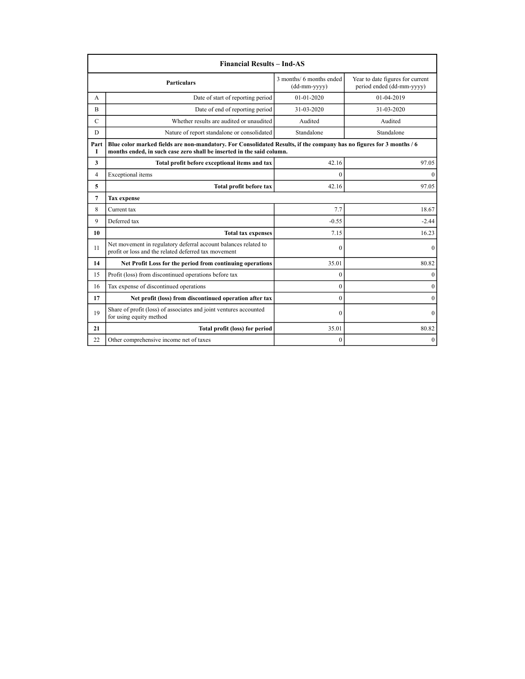|                                 | <b>Financial Results - Ind-AS</b>                                                                                                                                                             |                                          |                                                               |
|---------------------------------|-----------------------------------------------------------------------------------------------------------------------------------------------------------------------------------------------|------------------------------------------|---------------------------------------------------------------|
|                                 | <b>Particulars</b>                                                                                                                                                                            | 3 months/ 6 months ended<br>(dd-mm-yyyy) | Year to date figures for current<br>period ended (dd-mm-yyyy) |
| А                               | Date of start of reporting period                                                                                                                                                             | 01-01-2020                               | 01-04-2019                                                    |
| B                               | Date of end of reporting period                                                                                                                                                               | 31-03-2020                               | 31-03-2020                                                    |
| $\mathbf C$                     | Whether results are audited or unaudited                                                                                                                                                      | Audited                                  | Audited                                                       |
| D                               | Nature of report standalone or consolidated                                                                                                                                                   | Standalone                               | Standalone                                                    |
| Part<br>I                       | Blue color marked fields are non-mandatory. For Consolidated Results, if the company has no figures for 3 months / 6<br>months ended, in such case zero shall be inserted in the said column. |                                          |                                                               |
| 3                               | Total profit before exceptional items and tax                                                                                                                                                 | 42.16                                    | 97.05                                                         |
| $\overline{4}$                  | Exceptional items                                                                                                                                                                             | $\theta$                                 | $\Omega$                                                      |
| 5<br>Total profit before tax    |                                                                                                                                                                                               | 42.16                                    |                                                               |
| $\overline{7}$                  | <b>Tax</b> expense                                                                                                                                                                            |                                          |                                                               |
| 8                               | Current tax                                                                                                                                                                                   | 7.7                                      | 18.67                                                         |
| 9                               | Deferred tax                                                                                                                                                                                  | $-0.55$                                  | $-2.44$                                                       |
| 10<br><b>Total tax expenses</b> |                                                                                                                                                                                               | 7.15                                     | 16.23                                                         |
| 11                              | Net movement in regulatory deferral account balances related to<br>profit or loss and the related deferred tax movement                                                                       | $\mathbf{0}$                             | $\mathbf{0}$                                                  |
| 14                              | Net Profit Loss for the period from continuing operations                                                                                                                                     | 35.01                                    | 80.82                                                         |
| 15                              | Profit (loss) from discontinued operations before tax                                                                                                                                         | $\theta$                                 | $\mathbf{0}$                                                  |
| 16                              | Tax expense of discontinued operations                                                                                                                                                        | $\mathbf{0}$                             | $\mathbf{0}$                                                  |
| 17                              | Net profit (loss) from discontinued operation after tax                                                                                                                                       | $\theta$                                 | $\Omega$                                                      |
| 19                              | Share of profit (loss) of associates and joint ventures accounted<br>for using equity method                                                                                                  | $\theta$                                 | $\mathbf{0}$                                                  |
| 21                              | Total profit (loss) for period                                                                                                                                                                | 35.01                                    | 80.82                                                         |
| 22                              | Other comprehensive income net of taxes                                                                                                                                                       | $\mathbf{0}$                             | $\mathbf{0}$                                                  |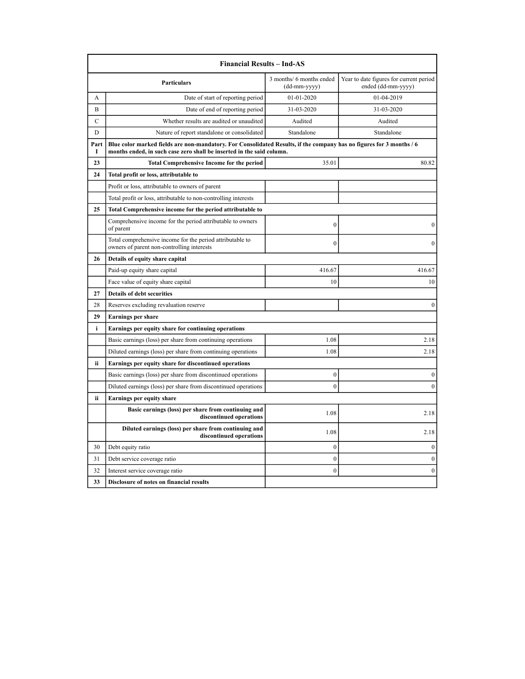|             | <b>Financial Results – Ind-AS</b>                                                                                                                                                             |                                          |                                                               |
|-------------|-----------------------------------------------------------------------------------------------------------------------------------------------------------------------------------------------|------------------------------------------|---------------------------------------------------------------|
|             | Particulars                                                                                                                                                                                   | 3 months/ 6 months ended<br>(dd-mm-yyyy) | Year to date figures for current period<br>ended (dd-mm-yyyy) |
| A           | Date of start of reporting period                                                                                                                                                             | 01-01-2020                               | 01-04-2019                                                    |
| B           | Date of end of reporting period                                                                                                                                                               | 31-03-2020                               | 31-03-2020                                                    |
| $\mathbf C$ | Whether results are audited or unaudited                                                                                                                                                      | Audited                                  | Audited                                                       |
| D           | Nature of report standalone or consolidated                                                                                                                                                   | Standalone                               | Standalone                                                    |
| Part<br>1   | Blue color marked fields are non-mandatory. For Consolidated Results, if the company has no figures for 3 months / 6<br>months ended, in such case zero shall be inserted in the said column. |                                          |                                                               |
| 23          | <b>Total Comprehensive Income for the period</b>                                                                                                                                              | 35.01                                    | 80.82                                                         |
| 24          | Total profit or loss, attributable to                                                                                                                                                         |                                          |                                                               |
|             | Profit or loss, attributable to owners of parent                                                                                                                                              |                                          |                                                               |
|             | Total profit or loss, attributable to non-controlling interests                                                                                                                               |                                          |                                                               |
| 25          | Total Comprehensive income for the period attributable to                                                                                                                                     |                                          |                                                               |
|             | Comprehensive income for the period attributable to owners<br>of parent                                                                                                                       | $\mathbf{0}$                             | $\boldsymbol{0}$                                              |
|             | Total comprehensive income for the period attributable to<br>owners of parent non-controlling interests                                                                                       | $\boldsymbol{0}$                         | $\mathbf{0}$                                                  |
| 26          | Details of equity share capital                                                                                                                                                               |                                          |                                                               |
|             | Paid-up equity share capital                                                                                                                                                                  | 416.67                                   | 416.67                                                        |
|             | Face value of equity share capital                                                                                                                                                            | 10                                       | 10                                                            |
| 27          | <b>Details of debt securities</b>                                                                                                                                                             |                                          |                                                               |
| 28          | Reserves excluding revaluation reserve                                                                                                                                                        |                                          | $\boldsymbol{0}$                                              |
| 29          | <b>Earnings per share</b>                                                                                                                                                                     |                                          |                                                               |
| i           | Earnings per equity share for continuing operations                                                                                                                                           |                                          |                                                               |
|             | Basic earnings (loss) per share from continuing operations                                                                                                                                    | 1.08                                     | 2.18                                                          |
|             | Diluted earnings (loss) per share from continuing operations                                                                                                                                  | 1.08                                     | 2.18                                                          |
| ii          | Earnings per equity share for discontinued operations                                                                                                                                         |                                          |                                                               |
|             | Basic earnings (loss) per share from discontinued operations                                                                                                                                  | $\boldsymbol{0}$                         | $\boldsymbol{0}$                                              |
|             | Diluted earnings (loss) per share from discontinued operations                                                                                                                                | $\overline{0}$                           | $\boldsymbol{0}$                                              |
| ii          | Earnings per equity share                                                                                                                                                                     |                                          |                                                               |
|             | Basic earnings (loss) per share from continuing and<br>discontinued operations                                                                                                                | 1.08                                     | 2.18                                                          |
|             | Diluted earnings (loss) per share from continuing and<br>discontinued operations                                                                                                              | 1.08                                     | 2.18                                                          |
| 30          | Debt equity ratio                                                                                                                                                                             | $\boldsymbol{0}$                         | $\boldsymbol{0}$                                              |
| 31          | Debt service coverage ratio                                                                                                                                                                   | $\boldsymbol{0}$                         | $\mathbf{0}$                                                  |
| 32          | Interest service coverage ratio                                                                                                                                                               | $\overline{0}$                           | $\mathbf{0}$                                                  |
| 33          | Disclosure of notes on financial results                                                                                                                                                      |                                          |                                                               |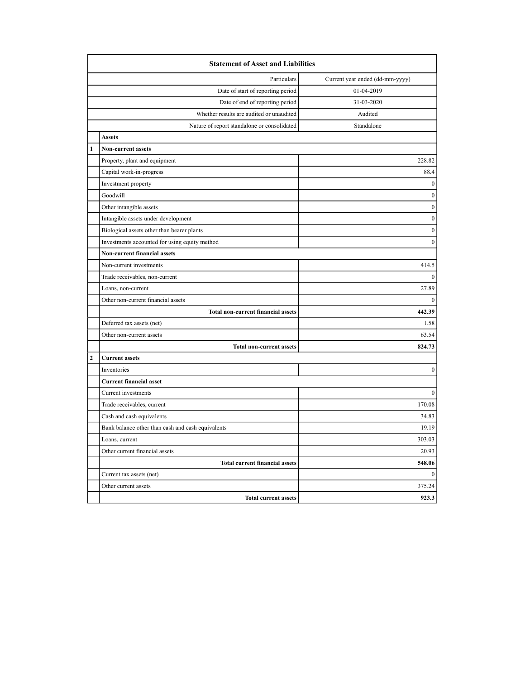|                | <b>Statement of Asset and Liabilities</b>         |                                 |  |
|----------------|---------------------------------------------------|---------------------------------|--|
|                | Particulars                                       | Current year ended (dd-mm-yyyy) |  |
|                | Date of start of reporting period                 | 01-04-2019                      |  |
|                | Date of end of reporting period                   | 31-03-2020                      |  |
|                | Whether results are audited or unaudited          | Audited                         |  |
|                | Nature of report standalone or consolidated       | Standalone                      |  |
|                | <b>Assets</b>                                     |                                 |  |
| 1              | <b>Non-current assets</b>                         |                                 |  |
|                | Property, plant and equipment                     | 228.82                          |  |
|                | Capital work-in-progress                          | 88.4                            |  |
|                | Investment property                               | $\mathbf{0}$                    |  |
|                | Goodwill                                          | $\boldsymbol{0}$                |  |
|                | Other intangible assets                           | $\boldsymbol{0}$                |  |
|                | Intangible assets under development               | $\boldsymbol{0}$                |  |
|                | Biological assets other than bearer plants        | $\boldsymbol{0}$                |  |
|                | Investments accounted for using equity method     | $\mathbf{0}$                    |  |
|                | Non-current financial assets                      |                                 |  |
|                | Non-current investments                           | 414.5                           |  |
|                | Trade receivables, non-current                    | $\mathbf{0}$                    |  |
|                | Loans, non-current                                | 27.89                           |  |
|                | Other non-current financial assets                | $\theta$                        |  |
|                | <b>Total non-current financial assets</b>         | 442.39                          |  |
|                | Deferred tax assets (net)                         | 1.58                            |  |
|                | Other non-current assets                          | 63.54                           |  |
|                | <b>Total non-current assets</b>                   | 824.73                          |  |
| $\overline{2}$ | <b>Current assets</b>                             |                                 |  |
|                | Inventories                                       | $\boldsymbol{0}$                |  |
|                | <b>Current financial asset</b>                    |                                 |  |
|                | Current investments                               | $\boldsymbol{0}$                |  |
|                | Trade receivables, current                        | 170.08                          |  |
|                | Cash and cash equivalents                         | 34.83                           |  |
|                | Bank balance other than cash and cash equivalents | 19.19                           |  |
|                | Loans, current                                    | 303.03                          |  |
|                | Other current financial assets                    | 20.93                           |  |
|                | <b>Total current financial assets</b>             | 548.06                          |  |
|                | Current tax assets (net)                          | $\mathbf{0}$                    |  |
|                | Other current assets                              | 375.24                          |  |
|                | <b>Total current assets</b>                       | 923.3                           |  |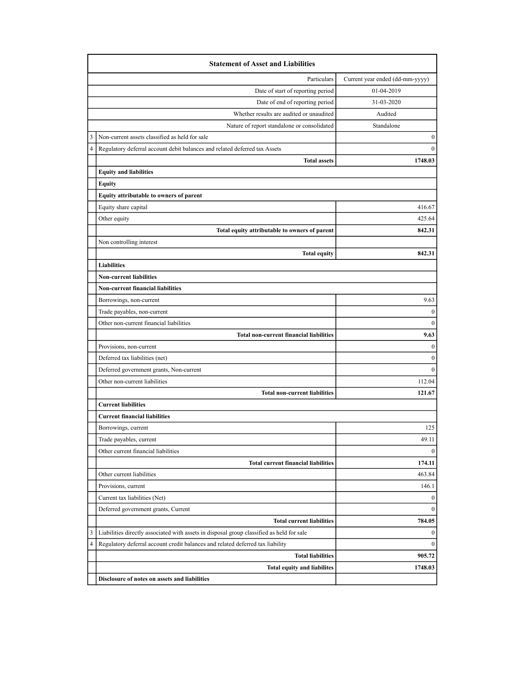|   | <b>Statement of Asset and Liabilities</b>                                                 |                                 |
|---|-------------------------------------------------------------------------------------------|---------------------------------|
|   | Particulars                                                                               | Current year ended (dd-mm-yyyy) |
|   | Date of start of reporting period                                                         | 01-04-2019                      |
|   | Date of end of reporting period                                                           | 31-03-2020                      |
|   | Whether results are audited or unaudited                                                  | Audited                         |
|   | Nature of report standalone or consolidated                                               | Standalone                      |
|   | Non-current assets classified as held for sale                                            | $\boldsymbol{0}$                |
|   | Regulatory deferral account debit balances and related deferred tax Assets                | $\mathbf{0}$                    |
|   | <b>Total assets</b>                                                                       | 1748.03                         |
|   | <b>Equity and liabilities</b>                                                             |                                 |
|   | Equity                                                                                    |                                 |
|   | Equity attributable to owners of parent                                                   |                                 |
|   | Equity share capital                                                                      | 416.67                          |
|   | Other equity                                                                              | 425.64                          |
|   | Total equity attributable to owners of parent                                             | 842.31                          |
|   | Non controlling interest                                                                  |                                 |
|   | <b>Total equity</b>                                                                       | 842.31                          |
|   | <b>Liabilities</b>                                                                        |                                 |
|   | <b>Non-current liabilities</b>                                                            |                                 |
|   | <b>Non-current financial liabilities</b>                                                  |                                 |
|   | Borrowings, non-current                                                                   | 9.63                            |
|   | Trade payables, non-current                                                               | 0                               |
|   | Other non-current financial liabilities                                                   | $\mathbf{0}$                    |
|   | <b>Total non-current financial liabilities</b>                                            | 9.63                            |
|   | Provisions, non-current                                                                   | $\mathbf{0}$                    |
|   | Deferred tax liabilities (net)                                                            | $\mathbf{0}$                    |
|   | Deferred government grants, Non-current                                                   | $\mathbf{0}$                    |
|   | Other non-current liabilities                                                             | 112.04                          |
|   | <b>Total non-current liabilities</b>                                                      | 121.67                          |
|   | <b>Current liabilities</b>                                                                |                                 |
|   | <b>Current financial liabilities</b>                                                      |                                 |
|   | Borrowings, current                                                                       | 125                             |
|   | Trade payables, current                                                                   | 49.11                           |
|   | Other current financial liabilities                                                       | $\mathbf{0}$                    |
|   | <b>Total current financial liabilities</b>                                                | 174.11                          |
|   | Other current liabilities                                                                 | 463.84                          |
|   | Provisions, current                                                                       | 146.1                           |
|   | Current tax liabilities (Net)                                                             | 0                               |
|   | Deferred government grants, Current                                                       | $\mathbf{0}$                    |
|   | <b>Total current liabilities</b>                                                          | 784.05                          |
| 3 | Liabilities directly associated with assets in disposal group classified as held for sale | 0                               |
| 4 | Regulatory deferral account credit balances and related deferred tax liability            | $\mathbf{0}$                    |
|   | <b>Total liabilities</b>                                                                  | 905.72                          |
|   | <b>Total equity and liabilites</b>                                                        | 1748.03                         |
|   | Disclosure of notes on assets and liabilities                                             |                                 |